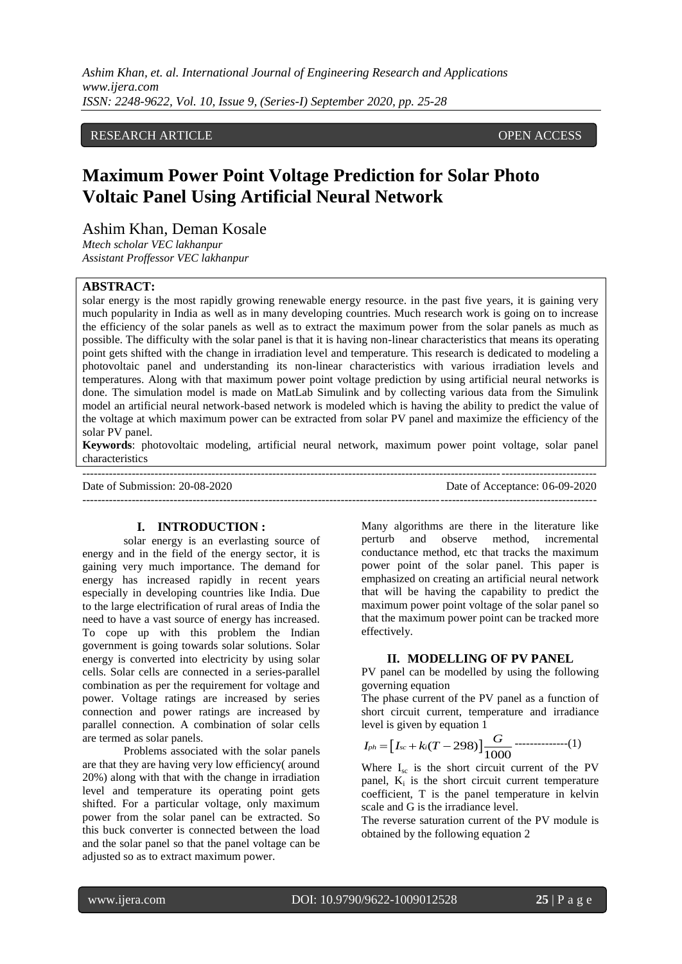*Ashim Khan, et. al. International Journal of Engineering Research and Applications www.ijera.com ISSN: 2248-9622, Vol. 10, Issue 9, (Series-I) September 2020, pp. 25-28*

## RESEARCH ARTICLE **OPEN ACCESS**

# **Maximum Power Point Voltage Prediction for Solar Photo Voltaic Panel Using Artificial Neural Network**

Ashim Khan, Deman Kosale

*Mtech scholar VEC lakhanpur Assistant Proffessor VEC lakhanpur*

#### **ABSTRACT:**

solar energy is the most rapidly growing renewable energy resource. in the past five years, it is gaining very much popularity in India as well as in many developing countries. Much research work is going on to increase the efficiency of the solar panels as well as to extract the maximum power from the solar panels as much as possible. The difficulty with the solar panel is that it is having non-linear characteristics that means its operating point gets shifted with the change in irradiation level and temperature. This research is dedicated to modeling a photovoltaic panel and understanding its non-linear characteristics with various irradiation levels and temperatures. Along with that maximum power point voltage prediction by using artificial neural networks is done. The simulation model is made on MatLab Simulink and by collecting various data from the Simulink model an artificial neural network-based network is modeled which is having the ability to predict the value of the voltage at which maximum power can be extracted from solar PV panel and maximize the efficiency of the solar PV panel.

**Keywords**: photovoltaic modeling, artificial neural network, maximum power point voltage, solar panel characteristics

--------------------------------------------------------------------------------------------------------------------------------------- Date of Submission: 20-08-2020 Date of Acceptance: 06-09-2020 ---------------------------------------------------------------------------------------------------------------------------------------

#### **I. INTRODUCTION :**

solar energy is an everlasting source of energy and in the field of the energy sector, it is gaining very much importance. The demand for energy has increased rapidly in recent years especially in developing countries like India. Due to the large electrification of rural areas of India the need to have a vast source of energy has increased. To cope up with this problem the Indian government is going towards solar solutions. Solar energy is converted into electricity by using solar cells. Solar cells are connected in a series-parallel combination as per the requirement for voltage and power. Voltage ratings are increased by series connection and power ratings are increased by parallel connection. A combination of solar cells are termed as solar panels.

Problems associated with the solar panels are that they are having very low efficiency( around 20%) along with that with the change in irradiation level and temperature its operating point gets shifted. For a particular voltage, only maximum power from the solar panel can be extracted. So this buck converter is connected between the load and the solar panel so that the panel voltage can be adjusted so as to extract maximum power.

Many algorithms are there in the literature like perturb and observe method, incremental conductance method, etc that tracks the maximum power point of the solar panel. This paper is emphasized on creating an artificial neural network that will be having the capability to predict the maximum power point voltage of the solar panel so that the maximum power point can be tracked more effectively.

#### **II. MODELLING OF PV PANEL**

PV panel can be modelled by using the following governing equation

The phase current of the PV panel as a function of short circuit current, temperature and irradiance level is given by equation 1

$$
I_{ph} = [I_{sc} + k_i(T - 298)] \frac{G}{1000}
$$
 (1)

Where  $I_{\rm sc}$  is the short circuit current of the PV panel,  $K_i$  is the short circuit current temperature coefficient, T is the panel temperature in kelvin scale and G is the irradiance level.

The reverse saturation current of the PV module is obtained by the following equation 2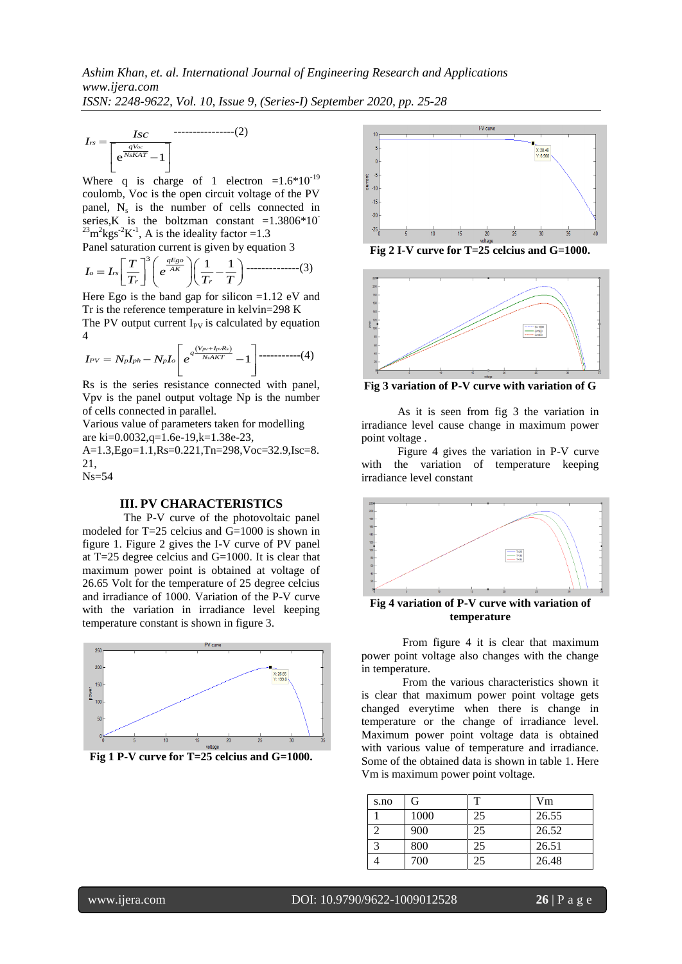$$
I_{rs} = \frac{Isc}{\left[e^{\frac{qV_{oc}}{NsKAT}} - 1\right]}
$$

Where q is charge of 1 electron = $1.6*10^{-19}$ coulomb, Voc is the open circuit voltage of the PV panel,  $N_s$  is the number of cells connected in series,K is the boltzman constant  $=1.3806*10^{-1}$ <sup>23</sup>m<sup>2</sup>kgs<sup>-2</sup>K<sup>-1</sup>, A is the ideality factor = 1.3

Panel saturation current is given by equation 3 1 1 *qEgo* 3 *AK o rs r r T I I e T T T* --------------(3)

Here Ego is the band gap for silicon =1.12 eV and Tr is the reference temperature in kelvin=298 K The PV output current  $I_{PV}$  is calculated by equation 4

4  
\n
$$
I_{PV} = N_p I_{ph} - N_p I_o \left[ e^{q \frac{(V_{pv} + I_{pv} R_s)}{N_s A K T}} - 1 \right] \dots (4)
$$

Rs is the series resistance connected with panel, Vpv is the panel output voltage Np is the number of cells connected in parallel.

Various value of parameters taken for modelling are ki=0.0032,q=1.6e-19,k=1.38e-23, A=1.3,Ego=1.1,Rs=0.221,Tn=298,Voc=32.9,Isc=8. 21, Ns=54

#### **III. PV CHARACTERISTICS**

 $e^{\frac{X_s}{N_sKAT}} - 1$ <br>
Where q is channel, Voc is t<br>
annel, N<sub>s</sub> is the<br>
eries, K is the<br>
eries, K is the<br>
annel saturation control of the same saturation control of the PV output cu<br>
It is the reference<br>
The PV output cu<br>
T The P-V curve of the photovoltaic panel modeled for T=25 celcius and G=1000 is shown in figure 1. Figure 2 gives the I-V curve of PV panel at T=25 degree celcius and G=1000. It is clear that maximum power point is obtained at voltage of 26.65 Volt for the temperature of 25 degree celcius and irradiance of 1000. Variation of the P-V curve with the variation in irradiance level keeping temperature constant is shown in figure 3.



**Fig 1 P-V curve for T=25 celcius and G=1000.**



**Fig 2 I-V curve for T=25 celcius and G=1000.**



**Fig 3 variation of P-V curve with variation of G**

As it is seen from fig 3 the variation in irradiance level cause change in maximum power point voltage .

Figure 4 gives the variation in P-V curve with the variation of temperature keeping irradiance level constant



**Fig 4 variation of P-V curve with variation of temperature**

From figure 4 it is clear that maximum power point voltage also changes with the change in temperature.

From the various characteristics shown it is clear that maximum power point voltage gets changed everytime when there is change in temperature or the change of irradiance level. Maximum power point voltage data is obtained with various value of temperature and irradiance. Some of the obtained data is shown in table 1. Here Vm is maximum power point voltage.

| s.no | G    |    | Vm    |
|------|------|----|-------|
|      | 1000 | 25 | 26.55 |
|      | 900  | 25 | 26.52 |
|      | 800  | 25 | 26.51 |
|      | 700  | 25 | 26.48 |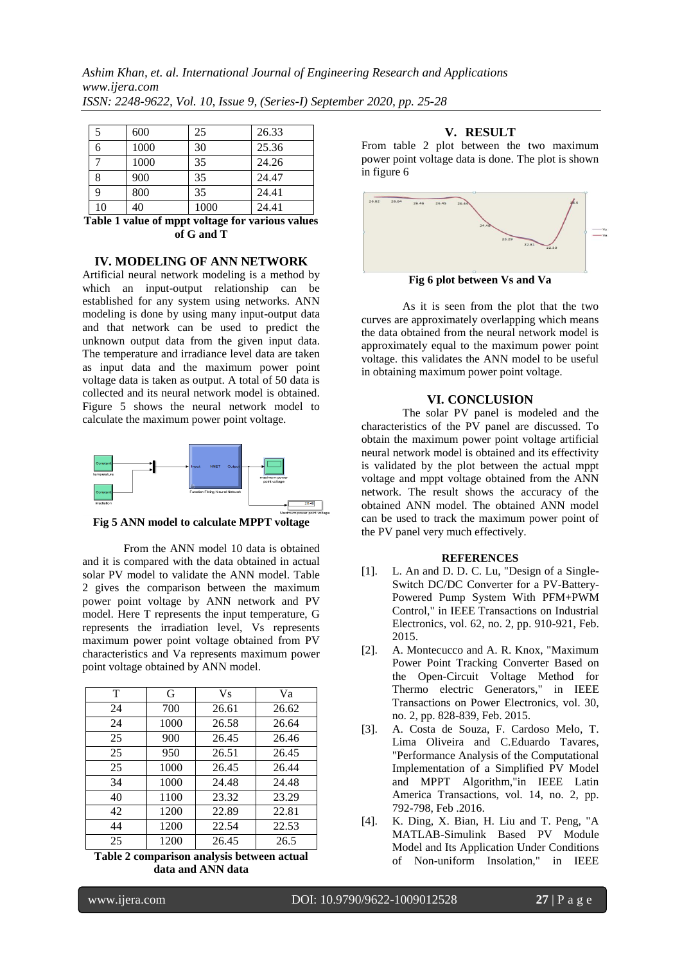*Ashim Khan, et. al. International Journal of Engineering Research and Applications www.ijera.com ISSN: 2248-9622, Vol. 10, Issue 9, (Series-I) September 2020, pp. 25-28*

|    | 600  | 25   | 26.33 |
|----|------|------|-------|
| 6  | 1000 | 30   | 25.36 |
|    | 1000 | 35   | 24.26 |
| 8  | 900  | 35   | 24.47 |
| 9  | 800  | 35   | 24.41 |
| 10 | 40   | 1000 | 24.41 |

**Table 1 value of mppt voltage for various values of G and T**

## **IV. MODELING OF ANN NETWORK**

Artificial neural network modeling is a method by which an input-output relationship can be established for any system using networks. ANN modeling is done by using many input-output data and that network can be used to predict the unknown output data from the given input data. The temperature and irradiance level data are taken as input data and the maximum power point voltage data is taken as output. A total of 50 data is collected and its neural network model is obtained. Figure 5 shows the neural network model to calculate the maximum power point voltage.



**Fig 5 ANN model to calculate MPPT voltage**

From the ANN model 10 data is obtained and it is compared with the data obtained in actual solar PV model to validate the ANN model. Table 2 gives the comparison between the maximum power point voltage by ANN network and PV model. Here T represents the input temperature, G represents the irradiation level, Vs represents maximum power point voltage obtained from PV characteristics and Va represents maximum power point voltage obtained by ANN model.

| T  | G    | <b>Vs</b> | Va    |
|----|------|-----------|-------|
| 24 | 700  | 26.61     | 26.62 |
| 24 | 1000 | 26.58     | 26.64 |
| 25 | 900  | 26.45     | 26.46 |
| 25 | 950  | 26.51     | 26.45 |
| 25 | 1000 | 26.45     | 26.44 |
| 34 | 1000 | 24.48     | 24.48 |
| 40 | 1100 | 23.32     | 23.29 |
| 42 | 1200 | 22.89     | 22.81 |
| 44 | 1200 | 22.54     | 22.53 |
| 25 | 1200 | 26.45     | 26.5  |

**Table 2 comparison analysis between actual data and ANN data**

### **V. RESULT**

From table 2 plot between the two maximum power point voltage data is done. The plot is shown in figure 6



**Fig 6 plot between Vs and Va**

As it is seen from the plot that the two curves are approximately overlapping which means the data obtained from the neural network model is approximately equal to the maximum power point voltage. this validates the ANN model to be useful in obtaining maximum power point voltage.

## **VI. CONCLUSION**

The solar PV panel is modeled and the characteristics of the PV panel are discussed. To obtain the maximum power point voltage artificial neural network model is obtained and its effectivity is validated by the plot between the actual mppt voltage and mppt voltage obtained from the ANN network. The result shows the accuracy of the obtained ANN model. The obtained ANN model can be used to track the maximum power point of the PV panel very much effectively.

#### **REFERENCES**

- [1]. L. An and D. D. C. Lu, "Design of a Single-Switch DC/DC Converter for a PV-Battery-Powered Pump System With PFM+PWM Control," in IEEE Transactions on Industrial Electronics, vol. 62, no. 2, pp. 910-921, Feb. 2015.
- [2]. A. Montecucco and A. R. Knox, "Maximum Power Point Tracking Converter Based on the Open-Circuit Voltage Method for Thermo electric Generators," in IEEE Transactions on Power Electronics, vol. 30, no. 2, pp. 828-839, Feb. 2015.
- [3]. A. Costa de Souza, F. Cardoso Melo, T. Lima Oliveira and C.Eduardo Tavares, "Performance Analysis of the Computational Implementation of a Simplified PV Model and MPPT Algorithm,"in IEEE Latin America Transactions, vol. 14, no. 2, pp. 792-798, Feb .2016.
- [4]. K. Ding, X. Bian, H. Liu and T. Peng, "A MATLAB-Simulink Based PV Module Model and Its Application Under Conditions of Non-uniform Insolation," in IEEE